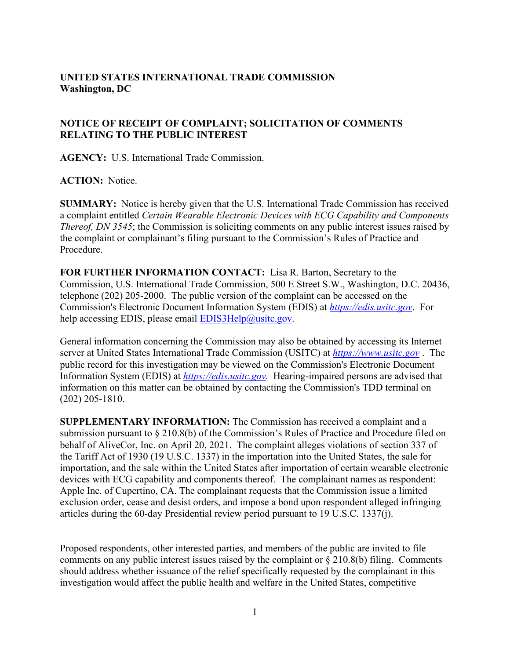## **UNITED STATES INTERNATIONAL TRADE COMMISSION Washington, DC**

## **NOTICE OF RECEIPT OF COMPLAINT; SOLICITATION OF COMMENTS RELATING TO THE PUBLIC INTEREST**

**AGENCY:** U.S. International Trade Commission.

## **ACTION:** Notice.

**SUMMARY:** Notice is hereby given that the U.S. International Trade Commission has received a complaint entitled *Certain Wearable Electronic Devices with ECG Capability and Components Thereof, DN 3545*; the Commission is soliciting comments on any public interest issues raised by the complaint or complainant's filing pursuant to the Commission's Rules of Practice and Procedure.

**FOR FURTHER INFORMATION CONTACT:** Lisa R. Barton, Secretary to the Commission, U.S. International Trade Commission, 500 E Street S.W., Washington, D.C. 20436, telephone (202) 205-2000. The public version of the complaint can be accessed on the Commission's Electronic Document Information System (EDIS) at *[https://edis.usitc.gov](https://edis.usitc.gov/)*. For help accessing EDIS, please email  $EDIS3Help@usite.gov$ .

General information concerning the Commission may also be obtained by accessing its Internet server at United States International Trade Commission (USITC) at *[https://www.usitc.gov](https://www.usitc.gov/)* . The public record for this investigation may be viewed on the Commission's Electronic Document Information System (EDIS) at *[https://edis.usitc.gov.](https://edis.usitc.gov/)* Hearing-impaired persons are advised that information on this matter can be obtained by contacting the Commission's TDD terminal on (202) 205-1810.

**SUPPLEMENTARY INFORMATION:** The Commission has received a complaint and a submission pursuant to § 210.8(b) of the Commission's Rules of Practice and Procedure filed on behalf of AliveCor, Inc. on April 20, 2021. The complaint alleges violations of section 337 of the Tariff Act of 1930 (19 U.S.C. 1337) in the importation into the United States, the sale for importation, and the sale within the United States after importation of certain wearable electronic devices with ECG capability and components thereof. The complainant names as respondent: Apple Inc. of Cupertino, CA. The complainant requests that the Commission issue a limited exclusion order, cease and desist orders, and impose a bond upon respondent alleged infringing articles during the 60-day Presidential review period pursuant to 19 U.S.C. 1337(j).

Proposed respondents, other interested parties, and members of the public are invited to file comments on any public interest issues raised by the complaint or  $\S 210.8(b)$  filing. Comments should address whether issuance of the relief specifically requested by the complainant in this investigation would affect the public health and welfare in the United States, competitive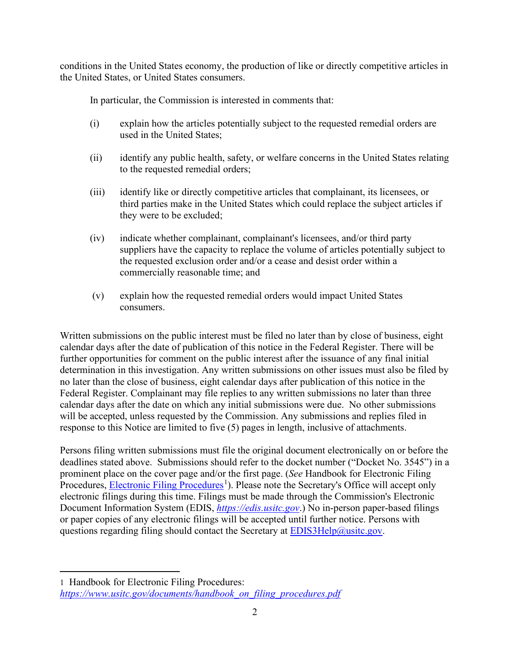conditions in the United States economy, the production of like or directly competitive articles in the United States, or United States consumers.

In particular, the Commission is interested in comments that:

- (i) explain how the articles potentially subject to the requested remedial orders are used in the United States;
- (ii) identify any public health, safety, or welfare concerns in the United States relating to the requested remedial orders;
- (iii) identify like or directly competitive articles that complainant, its licensees, or third parties make in the United States which could replace the subject articles if they were to be excluded;
- (iv) indicate whether complainant, complainant's licensees, and/or third party suppliers have the capacity to replace the volume of articles potentially subject to the requested exclusion order and/or a cease and desist order within a commercially reasonable time; and
- (v) explain how the requested remedial orders would impact United States consumers.

Written submissions on the public interest must be filed no later than by close of business, eight calendar days after the date of publication of this notice in the Federal Register. There will be further opportunities for comment on the public interest after the issuance of any final initial determination in this investigation. Any written submissions on other issues must also be filed by no later than the close of business, eight calendar days after publication of this notice in the Federal Register. Complainant may file replies to any written submissions no later than three calendar days after the date on which any initial submissions were due. No other submissions will be accepted, unless requested by the Commission. Any submissions and replies filed in response to this Notice are limited to five (5) pages in length, inclusive of attachments.

Persons filing written submissions must file the original document electronically on or before the deadlines stated above. Submissions should refer to the docket number ("Docket No. 3545") in a prominent place on the cover page and/or the first page. (*See* Handbook for Electronic Filing Procedures, **Electronic Filing Procedures**<sup>[1](#page-1-0)</sup>). Please note the Secretary's Office will accept only electronic filings during this time. Filings must be made through the Commission's Electronic Document Information System (EDIS, *[https://edis.usitc.gov](https://edis.usitc.gov/)*.) No in-person paper-based filings or paper copies of any electronic filings will be accepted until further notice. Persons with questions regarding filing should contact the Secretary at **EDIS3Help@usitc.gov**.

<span id="page-1-0"></span><sup>1</sup> Handbook for Electronic Filing Procedures: *[https://www.usitc.gov/documents/handbook\\_on\\_filing\\_procedures.pdf](https://www.usitc.gov/documents/handbook_on_filing_procedures.pdf)*